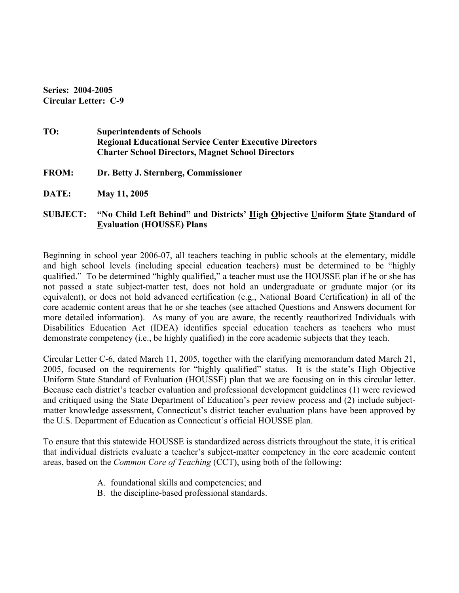**Series: 2004-2005 Circular Letter: C-9** 

- **TO: Superintendents of Schools Regional Educational Service Center Executive Directors Charter School Directors, Magnet School Directors**
- **FROM: Dr. Betty J. Sternberg, Commissioner**
- **DATE: May 11, 2005**

## **SUBJECT: "No Child Left Behind" and Districts' High Objective Uniform State Standard of Evaluation (HOUSSE) Plans**

Beginning in school year 2006-07, all teachers teaching in public schools at the elementary, middle and high school levels (including special education teachers) must be determined to be "highly qualified." To be determined "highly qualified," a teacher must use the HOUSSE plan if he or she has not passed a state subject-matter test, does not hold an undergraduate or graduate major (or its equivalent), or does not hold advanced certification (e.g., National Board Certification) in all of the core academic content areas that he or she teaches (see attached Questions and Answers document for more detailed information). As many of you are aware, the recently reauthorized Individuals with Disabilities Education Act (IDEA) identifies special education teachers as teachers who must demonstrate competency (i.e., be highly qualified) in the core academic subjects that they teach.

Circular Letter C-6, dated March 11, 2005, together with the clarifying memorandum dated March 21, 2005, focused on the requirements for "highly qualified" status. It is the state's High Objective Uniform State Standard of Evaluation (HOUSSE) plan that we are focusing on in this circular letter. Because each district's teacher evaluation and professional development guidelines (1) were reviewed and critiqued using the State Department of Education's peer review process and (2) include subjectmatter knowledge assessment, Connecticut's district teacher evaluation plans have been approved by the U.S. Department of Education as Connecticut's official HOUSSE plan.

To ensure that this statewide HOUSSE is standardized across districts throughout the state, it is critical that individual districts evaluate a teacher's subject-matter competency in the core academic content areas, based on the *Common Core of Teaching* (CCT), using both of the following:

- A. foundational skills and competencies; and
- B. the discipline-based professional standards.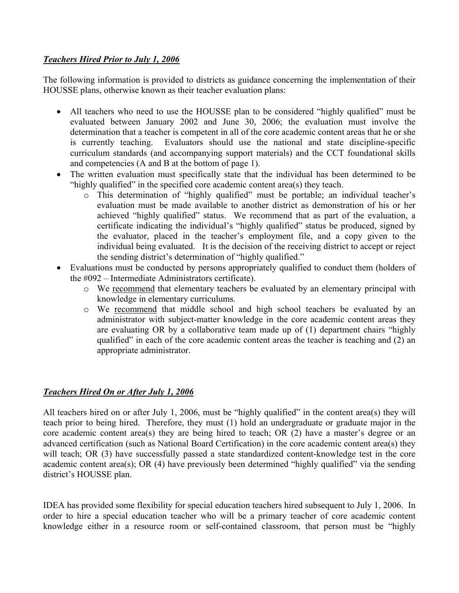## *Teachers Hired Prior to July 1, 2006*

The following information is provided to districts as guidance concerning the implementation of their HOUSSE plans, otherwise known as their teacher evaluation plans:

- All teachers who need to use the HOUSSE plan to be considered "highly qualified" must be evaluated between January 2002 and June 30, 2006; the evaluation must involve the determination that a teacher is competent in all of the core academic content areas that he or she is currently teaching. Evaluators should use the national and state discipline-specific curriculum standards (and accompanying support materials) and the CCT foundational skills and competencies (A and B at the bottom of page 1).
- The written evaluation must specifically state that the individual has been determined to be "highly qualified" in the specified core academic content area(s) they teach.
	- o This determination of "highly qualified" must be portable; an individual teacher's evaluation must be made available to another district as demonstration of his or her achieved "highly qualified" status. We recommend that as part of the evaluation, a certificate indicating the individual's "highly qualified" status be produced, signed by the evaluator, placed in the teacher's employment file, and a copy given to the individual being evaluated. It is the decision of the receiving district to accept or reject the sending district's determination of "highly qualified."
- Evaluations must be conducted by persons appropriately qualified to conduct them (holders of the #092 – Intermediate Administrators certificate).
	- o We recommend that elementary teachers be evaluated by an elementary principal with knowledge in elementary curriculums.
	- o We recommend that middle school and high school teachers be evaluated by an administrator with subject-matter knowledge in the core academic content areas they are evaluating OR by a collaborative team made up of (1) department chairs "highly qualified" in each of the core academic content areas the teacher is teaching and (2) an appropriate administrator.

## *Teachers Hired On or After July 1, 2006*

All teachers hired on or after July 1, 2006, must be "highly qualified" in the content area(s) they will teach prior to being hired. Therefore, they must (1) hold an undergraduate or graduate major in the core academic content area(s) they are being hired to teach; OR (2) have a master's degree or an advanced certification (such as National Board Certification) in the core academic content area(s) they will teach; OR (3) have successfully passed a state standardized content-knowledge test in the core academic content area(s); OR (4) have previously been determined "highly qualified" via the sending district's HOUSSE plan.

IDEA has provided some flexibility for special education teachers hired subsequent to July 1, 2006. In order to hire a special education teacher who will be a primary teacher of core academic content knowledge either in a resource room or self-contained classroom, that person must be "highly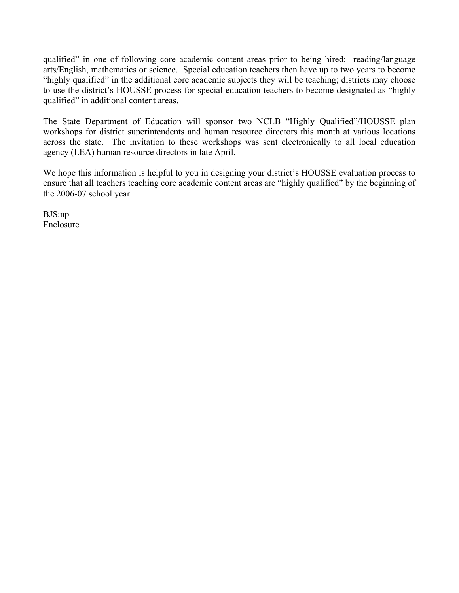qualified" in one of following core academic content areas prior to being hired: reading/language arts/English, mathematics or science. Special education teachers then have up to two years to become "highly qualified" in the additional core academic subjects they will be teaching; districts may choose to use the district's HOUSSE process for special education teachers to become designated as "highly qualified" in additional content areas.

The State Department of Education will sponsor two NCLB "Highly Qualified"/HOUSSE plan workshops for district superintendents and human resource directors this month at various locations across the state. The invitation to these workshops was sent electronically to all local education agency (LEA) human resource directors in late April.

We hope this information is helpful to you in designing your district's HOUSSE evaluation process to ensure that all teachers teaching core academic content areas are "highly qualified" by the beginning of the 2006-07 school year.

BJS:np Enclosure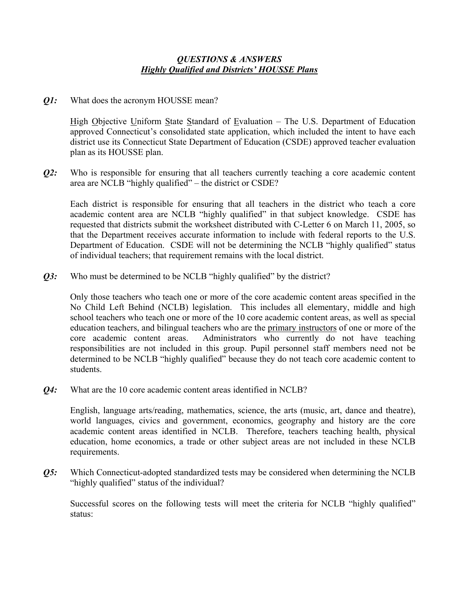## *Q1:* What does the acronym HOUSSE mean?

High Objective Uniform State Standard of Evaluation – The U.S. Department of Education approved Connecticut's consolidated state application, which included the intent to have each district use its Connecticut State Department of Education (CSDE) approved teacher evaluation plan as its HOUSSE plan.

*Q2:* Who is responsible for ensuring that all teachers currently teaching a core academic content area are NCLB "highly qualified" – the district or CSDE?

Each district is responsible for ensuring that all teachers in the district who teach a core academic content area are NCLB "highly qualified" in that subject knowledge. CSDE has requested that districts submit the worksheet distributed with C-Letter 6 on March 11, 2005, so that the Department receives accurate information to include with federal reports to the U.S. Department of Education. CSDE will not be determining the NCLB "highly qualified" status of individual teachers; that requirement remains with the local district.

*Q3:* Who must be determined to be NCLB "highly qualified" by the district?

Only those teachers who teach one or more of the core academic content areas specified in the No Child Left Behind (NCLB) legislation. This includes all elementary, middle and high school teachers who teach one or more of the 10 core academic content areas, as well as special education teachers, and bilingual teachers who are the primary instructors of one or more of the core academic content areas. Administrators who currently do not have teaching responsibilities are not included in this group. Pupil personnel staff members need not be determined to be NCLB "highly qualified" because they do not teach core academic content to students.

*Q4:* What are the 10 core academic content areas identified in NCLB?

English, language arts/reading, mathematics, science, the arts (music, art, dance and theatre), world languages, civics and government, economics, geography and history are the core academic content areas identified in NCLB. Therefore, teachers teaching health, physical education, home economics, a trade or other subject areas are not included in these NCLB requirements.

*Q5:* Which Connecticut-adopted standardized tests may be considered when determining the NCLB "highly qualified" status of the individual?

 Successful scores on the following tests will meet the criteria for NCLB "highly qualified" status: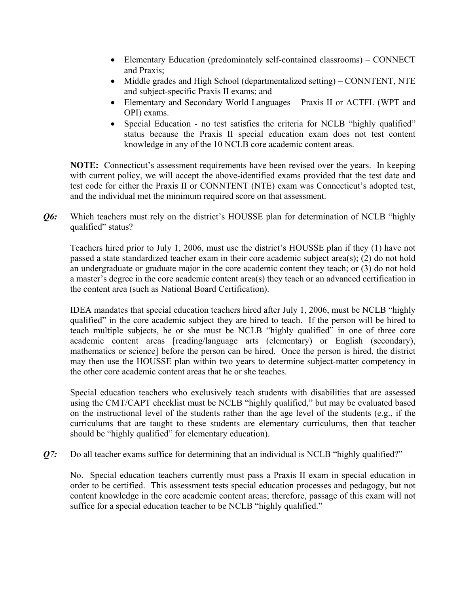- Elementary Education (predominately self-contained classrooms) CONNECT and Praxis;
- Middle grades and High School (departmentalized setting) CONNTENT, NTE and subject-specific Praxis II exams; and
- Elementary and Secondary World Languages Praxis II or ACTFL (WPT and OPI) exams.
- Special Education no test satisfies the criteria for NCLB "highly qualified" status because the Praxis II special education exam does not test content knowledge in any of the 10 NCLB core academic content areas.

**NOTE:** Connecticut's assessment requirements have been revised over the years. In keeping with current policy, we will accept the above-identified exams provided that the test date and test code for either the Praxis II or CONNTENT (NTE) exam was Connecticut's adopted test, and the individual met the minimum required score on that assessment.

*Q6:* Which teachers must rely on the district's HOUSSE plan for determination of NCLB "highly qualified" status?

Teachers hired prior to July 1, 2006, must use the district's HOUSSE plan if they (1) have not passed a state standardized teacher exam in their core academic subject area(s); (2) do not hold an undergraduate or graduate major in the core academic content they teach; or (3) do not hold a master's degree in the core academic content area(s) they teach or an advanced certification in the content area (such as National Board Certification).

IDEA mandates that special education teachers hired after July 1, 2006, must be NCLB "highly qualified" in the core academic subject they are hired to teach. If the person will be hired to teach multiple subjects, he or she must be NCLB "highly qualified" in one of three core academic content areas [reading/language arts (elementary) or English (secondary), mathematics or science] before the person can be hired. Once the person is hired, the district may then use the HOUSSE plan within two years to determine subject-matter competency in the other core academic content areas that he or she teaches.

Special education teachers who exclusively teach students with disabilities that are assessed using the CMT/CAPT checklist must be NCLB "highly qualified," but may be evaluated based on the instructional level of the students rather than the age level of the students (e.g., if the curriculums that are taught to these students are elementary curriculums, then that teacher should be "highly qualified" for elementary education).

*Q7*: Do all teacher exams suffice for determining that an individual is NCLB "highly qualified?"

No. Special education teachers currently must pass a Praxis II exam in special education in order to be certified. This assessment tests special education processes and pedagogy, but not content knowledge in the core academic content areas; therefore, passage of this exam will not suffice for a special education teacher to be NCLB "highly qualified."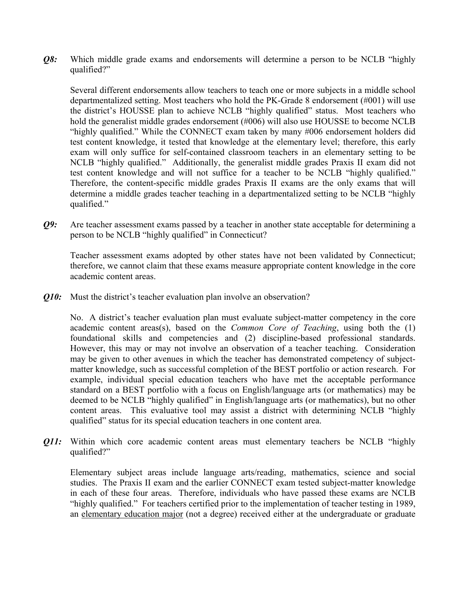*Q8:* Which middle grade exams and endorsements will determine a person to be NCLB "highly qualified?"

Several different endorsements allow teachers to teach one or more subjects in a middle school departmentalized setting. Most teachers who hold the PK-Grade 8 endorsement (#001) will use the district's HOUSSE plan to achieve NCLB "highly qualified" status. Most teachers who hold the generalist middle grades endorsement (#006) will also use HOUSSE to become NCLB "highly qualified." While the CONNECT exam taken by many #006 endorsement holders did test content knowledge, it tested that knowledge at the elementary level; therefore, this early exam will only suffice for self-contained classroom teachers in an elementary setting to be NCLB "highly qualified." Additionally, the generalist middle grades Praxis II exam did not test content knowledge and will not suffice for a teacher to be NCLB "highly qualified." Therefore, the content-specific middle grades Praxis II exams are the only exams that will determine a middle grades teacher teaching in a departmentalized setting to be NCLB "highly qualified."

*Q9:* Are teacher assessment exams passed by a teacher in another state acceptable for determining a person to be NCLB "highly qualified" in Connecticut?

Teacher assessment exams adopted by other states have not been validated by Connecticut; therefore, we cannot claim that these exams measure appropriate content knowledge in the core academic content areas.

*Q10:* Must the district's teacher evaluation plan involve an observation?

No. A district's teacher evaluation plan must evaluate subject-matter competency in the core academic content areas(s), based on the *Common Core of Teaching*, using both the (1) foundational skills and competencies and (2) discipline-based professional standards. However, this may or may not involve an observation of a teacher teaching. Consideration may be given to other avenues in which the teacher has demonstrated competency of subjectmatter knowledge, such as successful completion of the BEST portfolio or action research. For example, individual special education teachers who have met the acceptable performance standard on a BEST portfolio with a focus on English/language arts (or mathematics) may be deemed to be NCLB "highly qualified" in English/language arts (or mathematics), but no other content areas. This evaluative tool may assist a district with determining NCLB "highly qualified" status for its special education teachers in one content area.

*Q11:* Within which core academic content areas must elementary teachers be NCLB "highly" qualified?"

Elementary subject areas include language arts/reading, mathematics, science and social studies. The Praxis II exam and the earlier CONNECT exam tested subject-matter knowledge in each of these four areas. Therefore, individuals who have passed these exams are NCLB "highly qualified." For teachers certified prior to the implementation of teacher testing in 1989, an elementary education major (not a degree) received either at the undergraduate or graduate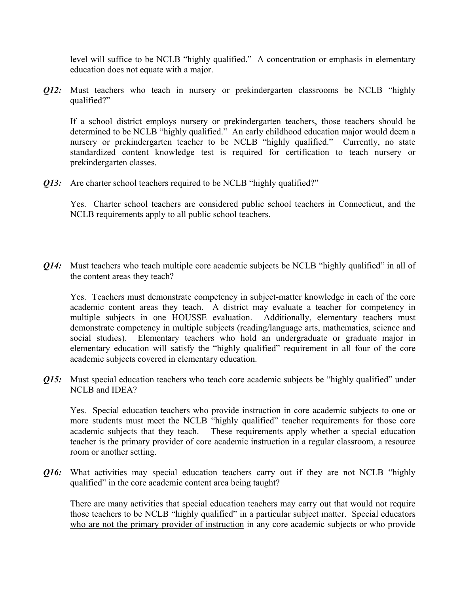level will suffice to be NCLB "highly qualified." A concentration or emphasis in elementary education does not equate with a major.

*Q12:* Must teachers who teach in nursery or prekindergarten classrooms be NCLB "highly qualified?"

If a school district employs nursery or prekindergarten teachers, those teachers should be determined to be NCLB "highly qualified." An early childhood education major would deem a nursery or prekindergarten teacher to be NCLB "highly qualified." Currently, no state standardized content knowledge test is required for certification to teach nursery or prekindergarten classes.

**Q13:** Are charter school teachers required to be NCLB "highly qualified?"

Yes. Charter school teachers are considered public school teachers in Connecticut, and the NCLB requirements apply to all public school teachers.

*Q14:* Must teachers who teach multiple core academic subjects be NCLB "highly qualified" in all of the content areas they teach?

Yes. Teachers must demonstrate competency in subject-matter knowledge in each of the core academic content areas they teach. A district may evaluate a teacher for competency in multiple subjects in one HOUSSE evaluation. Additionally, elementary teachers must demonstrate competency in multiple subjects (reading/language arts, mathematics, science and social studies). Elementary teachers who hold an undergraduate or graduate major in elementary education will satisfy the "highly qualified" requirement in all four of the core academic subjects covered in elementary education.

*Q15:* Must special education teachers who teach core academic subjects be "highly qualified" under NCLB and IDEA?

 Yes. Special education teachers who provide instruction in core academic subjects to one or more students must meet the NCLB "highly qualified" teacher requirements for those core academic subjects that they teach. These requirements apply whether a special education teacher is the primary provider of core academic instruction in a regular classroom, a resource room or another setting.

*Q16:* What activities may special education teachers carry out if they are not NCLB "highly qualified" in the core academic content area being taught?

 There are many activities that special education teachers may carry out that would not require those teachers to be NCLB "highly qualified" in a particular subject matter. Special educators who are not the primary provider of instruction in any core academic subjects or who provide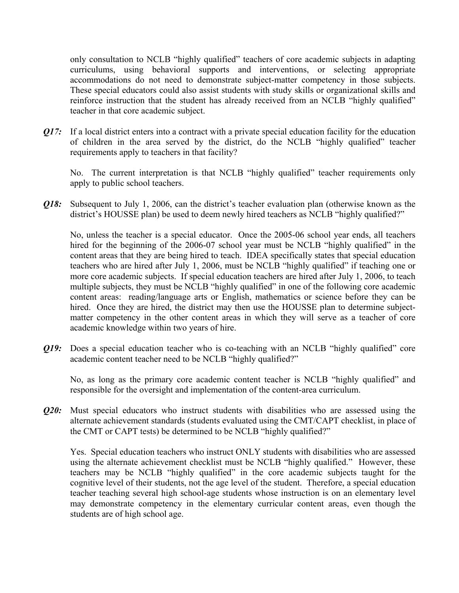only consultation to NCLB "highly qualified" teachers of core academic subjects in adapting curriculums, using behavioral supports and interventions, or selecting appropriate accommodations do not need to demonstrate subject-matter competency in those subjects. These special educators could also assist students with study skills or organizational skills and reinforce instruction that the student has already received from an NCLB "highly qualified" teacher in that core academic subject.

*Q17:* If a local district enters into a contract with a private special education facility for the education of children in the area served by the district, do the NCLB "highly qualified" teacher requirements apply to teachers in that facility?

 No. The current interpretation is that NCLB "highly qualified" teacher requirements only apply to public school teachers.

*Q18:* Subsequent to July 1, 2006, can the district's teacher evaluation plan (otherwise known as the district's HOUSSE plan) be used to deem newly hired teachers as NCLB "highly qualified?"

 No, unless the teacher is a special educator. Once the 2005-06 school year ends, all teachers hired for the beginning of the 2006-07 school year must be NCLB "highly qualified" in the content areas that they are being hired to teach. IDEA specifically states that special education teachers who are hired after July 1, 2006, must be NCLB "highly qualified" if teaching one or more core academic subjects. If special education teachers are hired after July 1, 2006, to teach multiple subjects, they must be NCLB "highly qualified" in one of the following core academic content areas: reading/language arts or English, mathematics or science before they can be hired. Once they are hired, the district may then use the HOUSSE plan to determine subjectmatter competency in the other content areas in which they will serve as a teacher of core academic knowledge within two years of hire.

*Q19:* Does a special education teacher who is co-teaching with an NCLB "highly qualified" core academic content teacher need to be NCLB "highly qualified?"

 No, as long as the primary core academic content teacher is NCLB "highly qualified" and responsible for the oversight and implementation of the content-area curriculum.

*Q20:* Must special educators who instruct students with disabilities who are assessed using the alternate achievement standards (students evaluated using the CMT/CAPT checklist, in place of the CMT or CAPT tests) be determined to be NCLB "highly qualified?"

Yes. Special education teachers who instruct ONLY students with disabilities who are assessed using the alternate achievement checklist must be NCLB "highly qualified." However, these teachers may be NCLB "highly qualified" in the core academic subjects taught for the cognitive level of their students, not the age level of the student. Therefore, a special education teacher teaching several high school-age students whose instruction is on an elementary level may demonstrate competency in the elementary curricular content areas, even though the students are of high school age.